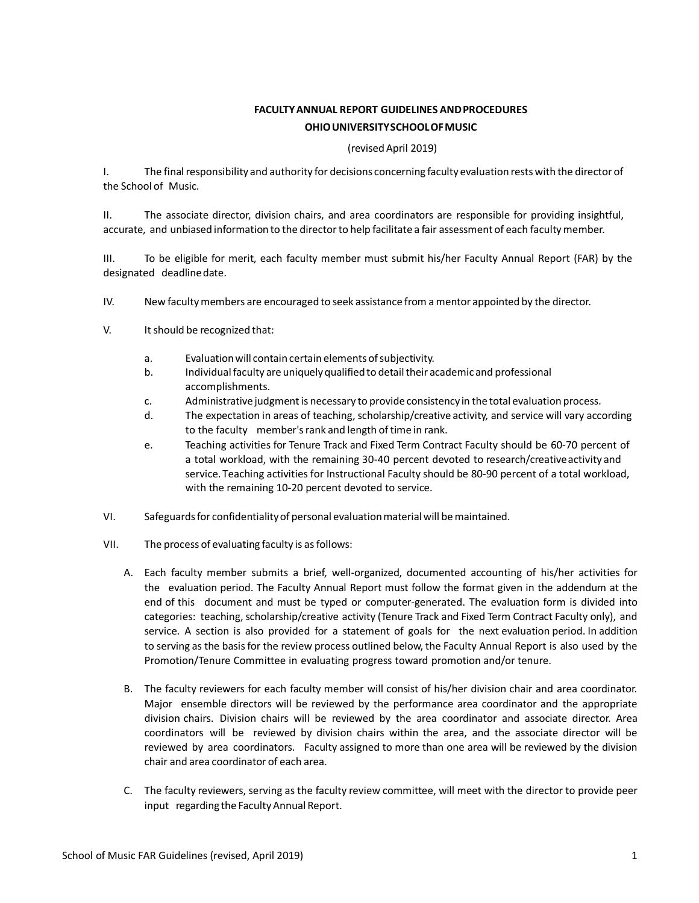# **FACULTYANNUAL REPORT GUIDELINES ANDPROCEDURES OHIOUNIVERSITYSCHOOLOFMUSIC**

## (revisedApril 2019)

I. The final responsibility and authority for decisions concerning faculty evaluation rests with the director of the School of Music.

II. The associate director, division chairs, and area coordinators are responsible for providing insightful, accurate, and unbiased information to the directorto help facilitate a fair assessment of each facultymember.

III. To be eligible for merit, each faculty member must submit his/her Faculty Annual Report (FAR) by the designated deadlinedate.

- IV. New facultymembers are encouraged to seek assistance from a mentor appointed by the director.
- V. It should be recognized that:
	- a. Evaluation will contain certain elements of subjectivity.
	- b. Individual faculty are uniquely qualified to detail their academic and professional accomplishments.
	- c. Administrativejudgmentis necessary to provideconsistency in the total evaluation process.
	- d. The expectation in areas of teaching, scholarship/creative activity, and service will vary according to the faculty member's rank and length of time in rank.
	- e. Teaching activities for Tenure Track and Fixed Term Contract Faculty should be 60-70 percent of a total workload, with the remaining 30-40 percent devoted to research/creativeactivity and service. Teaching activities for Instructional Faculty should be 80-90 percent of a total workload, with the remaining 10-20 percent devoted to service.
- VI. Safeguardsfor confidentialityof personal evaluationmaterialwill bemaintained.
- VII. The process of evaluating faculty is asfollows:
	- A. Each faculty member submits a brief, well-organized, documented accounting of his/her activities for the evaluation period. The Faculty Annual Report must follow the format given in the addendum at the end of this document and must be typed or computer-generated. The evaluation form is divided into categories: teaching, scholarship/creative activity (Tenure Track and Fixed Term Contract Faculty only), and service. A section is also provided for a statement of goals for the next evaluation period. In addition to serving as the basisfor the review process outlined below, the Faculty Annual Report is also used by the Promotion/Tenure Committee in evaluating progress toward promotion and/or tenure.
	- B. The faculty reviewers for each faculty member will consist of his/her division chair and area coordinator. Major ensemble directors will be reviewed by the performance area coordinator and the appropriate division chairs. Division chairs will be reviewed by the area coordinator and associate director. Area coordinators will be reviewed by division chairs within the area, and the associate director will be reviewed by area coordinators. Faculty assigned to more than one area will be reviewed by the division chair and area coordinator of each area.
	- C. The faculty reviewers, serving as the faculty review committee, will meet with the director to provide peer input regarding the Faculty Annual Report.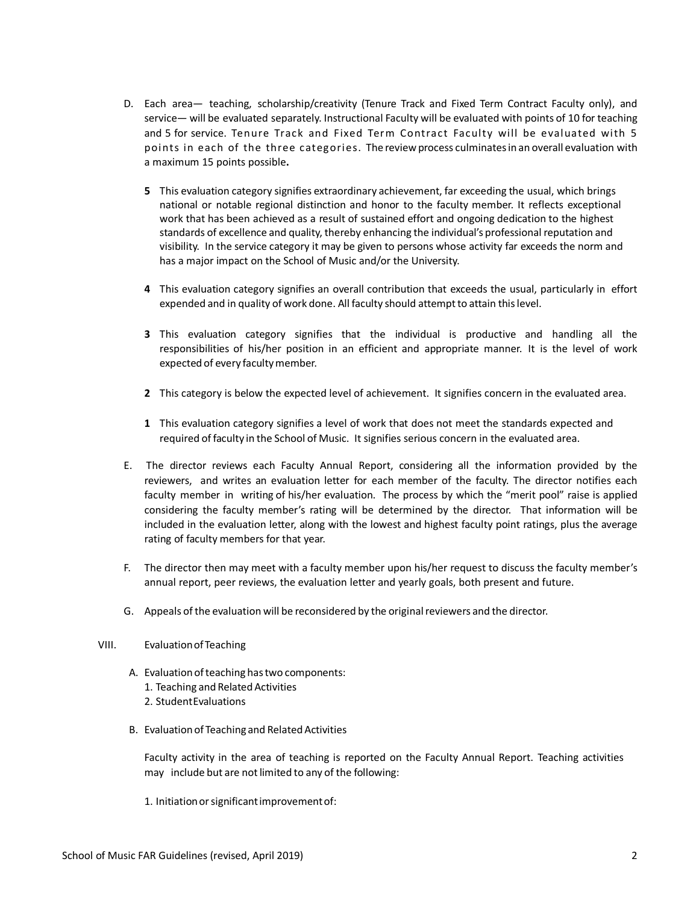- D. Each area— teaching, scholarship/creativity (Tenure Track and Fixed Term Contract Faculty only), and service— will be evaluated separately. Instructional Faculty will be evaluated with points of 10 for teaching and 5 for service. Tenure Track and Fixed Term Contract Faculty will be evaluated with 5 points in each of the three categories. The review process culminates in an overall evaluation with a maximum 15 points possible**.**
	- **5** This evaluation category signifies extraordinary achievement, far exceeding the usual, which brings national or notable regional distinction and honor to the faculty member. It reflects exceptional work that has been achieved as a result of sustained effort and ongoing dedication to the highest standards of excellence and quality, thereby enhancing the individual's professional reputation and visibility. In the service category it may be given to persons whose activity far exceeds the norm and has a major impact on the School of Music and/or the University.
	- **4** This evaluation category signifies an overall contribution that exceeds the usual, particularly in effort expended and in quality of work done. All faculty should attempt to attain this level.
	- **3** This evaluation category signifies that the individual is productive and handling all the responsibilities of his/her position in an efficient and appropriate manner. It is the level of work expected of every facultymember.
	- **2** This category is below the expected level of achievement. It signifies concern in the evaluated area.
	- **1** This evaluation category signifies a level of work that does not meet the standards expected and required of faculty in the School of Music. It signifies serious concern in the evaluated area.
- E. The director reviews each Faculty Annual Report, considering all the information provided by the reviewers, and writes an evaluation letter for each member of the faculty. The director notifies each faculty member in writing of his/her evaluation. The process by which the "merit pool" raise is applied considering the faculty member's rating will be determined by the director. That information will be included in the evaluation letter, along with the lowest and highest faculty point ratings, plus the average rating of faculty members for that year.
- F. The director then may meet with a faculty member upon his/her request to discuss the faculty member's annual report, peer reviews, the evaluation letter and yearly goals, both present and future.
- G. Appeals of the evaluation will be reconsidered by the originalreviewers and the director.
- VIII. Evaluationof Teaching
	- A. Evaluation of teaching has two components:
		- 1. Teaching and Related Activities
		- 2. StudentEvaluations
	- B. Evaluation of Teaching and Related Activities

Faculty activity in the area of teaching is reported on the Faculty Annual Report. Teaching activities may include but are not limited to any of the following:

1. Initiationorsignificantimprovementof: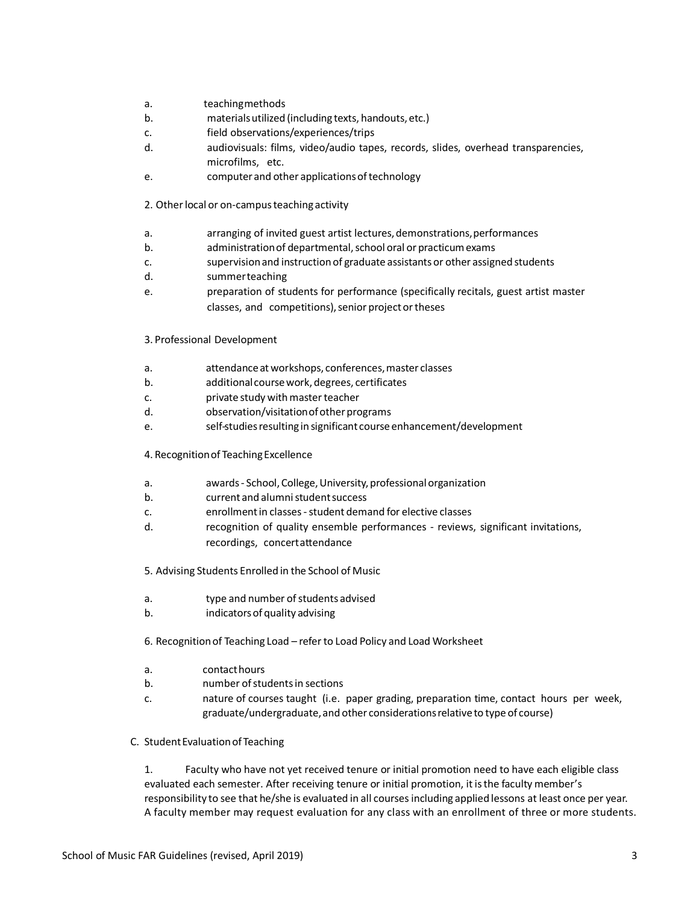- a. teachingmethods
- b. materialsutilized (including texts, handouts, etc.)
- c. field observations/experiences/trips
- d. audiovisuals: films, video/audio tapes, records, slides, overhead transparencies, microfilms, etc.
- e. computer and other applicationsoftechnology
- 2. Otherlocal or on-campusteaching activity
- a. arranging of invited guest artist lectures,demonstrations,performances
- b. administrationof departmental,school oral or practicumexams
- c. supervisionand instructionof graduate assistants or other assigned students
- d. summerteaching
- e. preparation of students for performance (specifically recitals, guest artist master classes, and competitions), senior project or theses
- 3. Professional Development
- a. attendanceatworkshops, conferences,master classes
- b. additionalcoursework,degrees, certificates
- c. private study withmasterteacher
- d. observation/visitation of other programs
- e. self-studiesresulting in significant courseenhancement/development
- 4. Recognitionof TeachingExcellence
- a. awards- School,College,University, professionalorganization
- b. current and alumnistudentsuccess
- c. enrollmentin classes-student demand for elective classes
- d. recognition of quality ensemble performances reviews, significant invitations, recordings, concertattendance
- 5. Advising Students Enrolled in the School of Music
- a. type and number of students advised
- b. indicatorsof quality advising
- 6. Recognitionof Teaching Load refer to Load Policy and Load Worksheet
- a. contacthours
- b. number ofstudentsin sections
- c. nature of courses taught (i.e. paper grading, preparation time, contact hours per week, graduate/undergraduate, and other considerations relative to type of course)
- C. StudentEvaluationof Teaching

1. Faculty who have not yet received tenure or initial promotion need to have each eligible class evaluated each semester. After receiving tenure or initial promotion, it is the faculty member's responsibility to see that he/she is evaluated in all coursesincluding applied lessons at least once per year. A faculty member may request evaluation for any class with an enrollment of three or more students.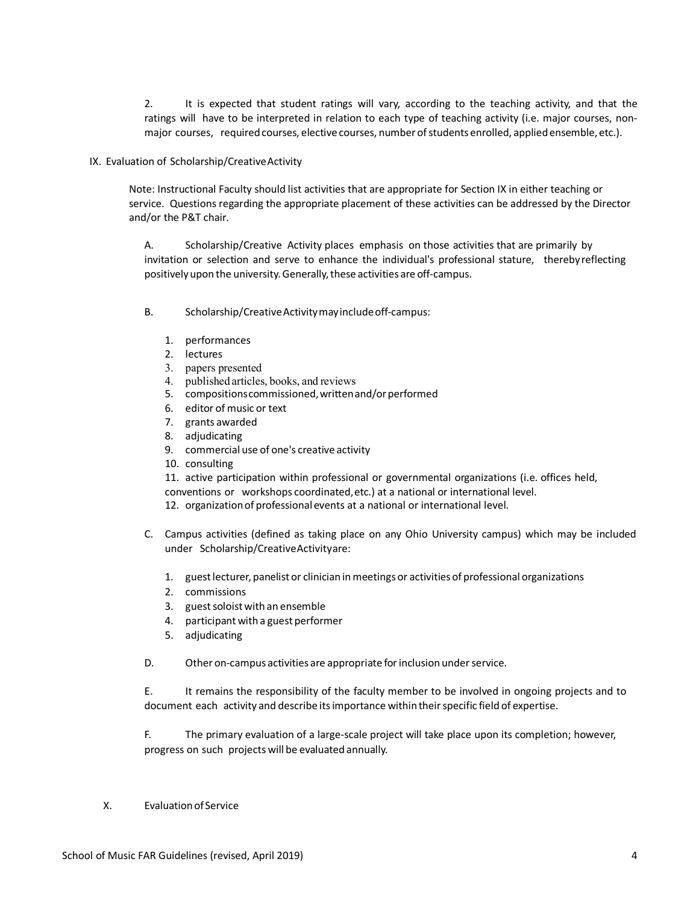2. It is expected that student ratings will vary, according to the teaching activity, and that the ratings will have to be interpreted in relation to each type of teaching activity (i.e. major courses, nonmajor courses, required courses, elective courses, number of students enrolled, applied ensemble, etc.).

## IX. Evaluation of Scholarship/CreativeActivity

Note: Instructional Faculty should list activities that are appropriate for Section IX in either teaching or service. Questions regarding the appropriate placement of these activities can be addressed by the Director and/or the P&T chair.

A. Scholarship/Creative Activity places emphasis on those activities that are primarily by invitation or selection and serve to enhance the individual's professional stature, thereby reflecting positively upon the university. Generally, these activities are off-campus.

- B. Scholarship/Creative Activity may include off-campus:
	- 1. performances
	- 2. lectures
	- 3. papers presented
	- 4. published articles, books, and reviews
	- 5. compositions commissioned, written and/or performed
	- 6. editor of music or text
	- 7. grants awarded
	- 8. adjudicating
	- 9. commercial use of one's creative activity
	- 10. consulting

11. active participation within professional or governmental organizations (i.e. offices held, conventions or workshops coordinated,etc.) at a national or international level. 12. organizationof professional events at a national or international level.

- C. Campus activities (defined as taking place on any Ohio University campus) which may be included under Scholarship/CreativeActivityare:
	- 1. guestlecturer, panelist or clinician in meetings or activities of professional organizations
	- 2. commissions
	- 3. guest soloist with an ensemble
	- 4. participant with a guest performer
	- 5. adjudicating
- D. Other on-campus activities are appropriate for inclusion under service.

E. It remains the responsibility of the faculty member to be involved in ongoing projects and to document each activity and describe itsimportance within theirspecific field of expertise.

F. The primary evaluation of a large-scale project will take place upon its completion; however, progress on such projects will be evaluated annually.

X. Evaluationof Service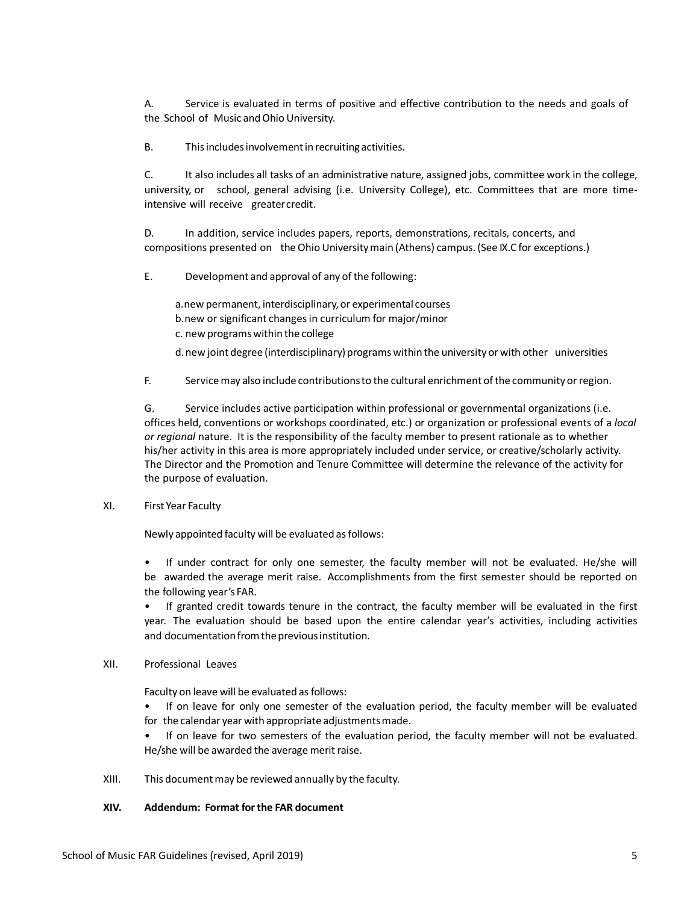A. Service is evaluated in terms of positive and effective contribution to the needs and goals of the School of Music and Ohio University.

B. Thisincludesinvolvementin recruiting activities.

C. It also includes all tasks of an administrative nature, assigned jobs, committee work in the college, university, or school, general advising (i.e. University College), etc. Committees that are more timeintensive will receive greatercredit.

D. In addition, service includes papers, reports, demonstrations, recitals, concerts, and compositions presented on the Ohio Universitymain (Athens) campus. (See IX.C for exceptions.)

E. Development and approval of any of the following:

a.new permanent, interdisciplinary,or experimental courses

b.new or significant changesin curriculum for major/minor

c. new programswithin the college

d.new joint degree (interdisciplinary) programs within the university or with other universities

F. Servicemay also include contributionsto the cultural enrichment of the community or region.

G. Service includes active participation within professional or governmental organizations (i.e. offices held, conventions or workshops coordinated, etc.) or organization or professional events of a *local or regional* nature. It is the responsibility of the faculty member to present rationale as to whether his/her activity in this area is more appropriately included under service, or creative/scholarly activity. The Director and the Promotion and Tenure Committee will determine the relevance of the activity for the purpose of evaluation.

# XI. First Year Faculty

Newly appointed faculty will be evaluated as follows:

• If under contract for only one semester, the faculty member will not be evaluated. He/she will be awarded the average merit raise. Accomplishments from the first semester should be reported on the following year's FAR.

• If granted credit towards tenure in the contract, the faculty member will be evaluated in the first year. The evaluation should be based upon the entire calendar year's activities, including activities and documentation from the previous institution.

## XII. Professional Leaves

Faculty on leave will be evaluated as follows:

• If on leave for only one semester of the evaluation period, the faculty member will be evaluated for the calendar year with appropriate adjustmentsmade.

• If on leave for two semesters of the evaluation period, the faculty member will not be evaluated. He/she will be awarded the average merit raise.

XIII. This documentmay be reviewed annually by the faculty.

# **XIV. Addendum: Format forthe FAR document**